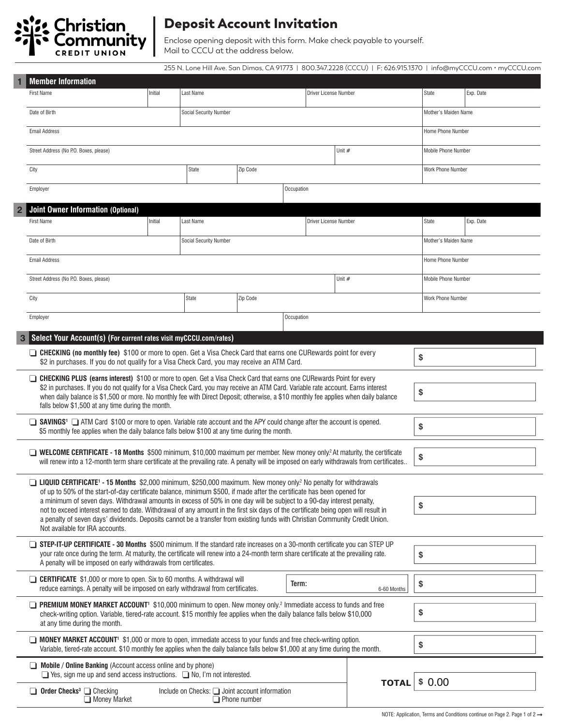

## Deposit Account Invitation

Enclose opening deposit with this form. Make check payable to yourself. Mail to CCCU at the address below.

255 N. Lone Hill Ave. San Dimas, CA 91773 | 800.347.2228 (CCCU) | F: 626.915.1370 | info@myCCCU.com • myCCCU.com

| <b>Member Information</b>                                                                                                                                                                                                                                                                                                                                                                                                                                                                                                                                                                                                                                                                      |                                                                       |                               |          |              |                            |                   |                            |           |
|------------------------------------------------------------------------------------------------------------------------------------------------------------------------------------------------------------------------------------------------------------------------------------------------------------------------------------------------------------------------------------------------------------------------------------------------------------------------------------------------------------------------------------------------------------------------------------------------------------------------------------------------------------------------------------------------|-----------------------------------------------------------------------|-------------------------------|----------|--------------|----------------------------|-------------------|----------------------------|-----------|
| <b>First Name</b>                                                                                                                                                                                                                                                                                                                                                                                                                                                                                                                                                                                                                                                                              | Initial                                                               | Last Name                     |          |              | Driver License Number      |                   | State                      | Exp. Date |
| Date of Birth                                                                                                                                                                                                                                                                                                                                                                                                                                                                                                                                                                                                                                                                                  |                                                                       | <b>Social Security Number</b> |          |              | Mother's Maiden Name       |                   |                            |           |
| <b>Email Address</b>                                                                                                                                                                                                                                                                                                                                                                                                                                                                                                                                                                                                                                                                           |                                                                       |                               |          |              |                            |                   | Home Phone Number          |           |
| Street Address (No P.O. Boxes, please)                                                                                                                                                                                                                                                                                                                                                                                                                                                                                                                                                                                                                                                         |                                                                       | Unit $#$                      |          |              |                            |                   | <b>Mobile Phone Number</b> |           |
| City                                                                                                                                                                                                                                                                                                                                                                                                                                                                                                                                                                                                                                                                                           |                                                                       | <b>State</b>                  | Zip Code |              |                            |                   | Work Phone Number          |           |
| Employer<br>Occupation                                                                                                                                                                                                                                                                                                                                                                                                                                                                                                                                                                                                                                                                         |                                                                       |                               |          |              |                            |                   |                            |           |
| <b>Joint Owner Information (Optional)</b>                                                                                                                                                                                                                                                                                                                                                                                                                                                                                                                                                                                                                                                      |                                                                       |                               |          |              |                            |                   |                            |           |
| <b>First Name</b>                                                                                                                                                                                                                                                                                                                                                                                                                                                                                                                                                                                                                                                                              | Initial<br>Last Name                                                  |                               |          |              | Driver License Number      |                   | State                      | Exp. Date |
| Date of Birth                                                                                                                                                                                                                                                                                                                                                                                                                                                                                                                                                                                                                                                                                  | Social Security Number                                                |                               |          |              | Mother's Maiden Name       |                   |                            |           |
| <b>Email Address</b>                                                                                                                                                                                                                                                                                                                                                                                                                                                                                                                                                                                                                                                                           |                                                                       |                               |          |              |                            |                   | Home Phone Number          |           |
| Street Address (No P.O. Boxes, please)                                                                                                                                                                                                                                                                                                                                                                                                                                                                                                                                                                                                                                                         | Unit #                                                                |                               |          |              | <b>Mobile Phone Number</b> |                   |                            |           |
| City                                                                                                                                                                                                                                                                                                                                                                                                                                                                                                                                                                                                                                                                                           | State<br>Zip Code                                                     |                               |          |              |                            | Work Phone Number |                            |           |
| Occupation<br>Employer                                                                                                                                                                                                                                                                                                                                                                                                                                                                                                                                                                                                                                                                         |                                                                       |                               |          |              |                            |                   |                            |           |
|                                                                                                                                                                                                                                                                                                                                                                                                                                                                                                                                                                                                                                                                                                |                                                                       |                               |          |              |                            |                   |                            |           |
| Select Your Account(s) (For current rates visit myCCCU.com/rates)<br>□ CHECKING (no monthly fee) \$100 or more to open. Get a Visa Check Card that earns one CURewards point for every<br>\$                                                                                                                                                                                                                                                                                                                                                                                                                                                                                                   |                                                                       |                               |          |              |                            |                   |                            |           |
| \$2 in purchases. If you do not qualify for a Visa Check Card, you may receive an ATM Card.                                                                                                                                                                                                                                                                                                                                                                                                                                                                                                                                                                                                    |                                                                       |                               |          |              |                            |                   |                            |           |
| □ CHECKING PLUS (earns interest) \$100 or more to open. Get a Visa Check Card that earns one CURewards Point for every<br>\$2 in purchases. If you do not qualify for a Visa Check Card, you may receive an ATM Card. Variable rate account. Earns interest<br>\$<br>when daily balance is \$1,500 or more. No monthly fee with Direct Deposit; otherwise, a \$10 monthly fee applies when daily balance<br>falls below \$1,500 at any time during the month.                                                                                                                                                                                                                                  |                                                                       |                               |          |              |                            |                   |                            |           |
| SAVINGS <sup>1</sup> ATM Card \$100 or more to open. Variable rate account and the APY could change after the account is opened.<br>\$<br>\$5 monthly fee applies when the daily balance falls below \$100 at any time during the month.                                                                                                                                                                                                                                                                                                                                                                                                                                                       |                                                                       |                               |          |              |                            |                   |                            |           |
| <b>WELCOME CERTIFICATE - 18 Months</b> \$500 minimum, \$10,000 maximum per member. New money only? At maturity, the certificate<br>\$<br>will renew into a 12-month term share certificate at the prevailing rate. A penalty will be imposed on early withdrawals from certificates                                                                                                                                                                                                                                                                                                                                                                                                            |                                                                       |                               |          |              |                            |                   |                            |           |
| □ LIQUID CERTIFICATE <sup>1</sup> - 15 Months \$2,000 minimum, \$250,000 maximum. New money only? No penalty for withdrawals<br>of up to 50% of the start-of-day certificate balance, minimum \$500, if made after the certificate has been opened for<br>a minimum of seven days. Withdrawal amounts in excess of 50% in one day will be subject to a 90-day interest penalty,<br>\$<br>not to exceed interest earned to date. Withdrawal of any amount in the first six days of the certificate being open will result in<br>a penalty of seven days' dividends. Deposits cannot be a transfer from existing funds with Christian Community Credit Union.<br>Not available for IRA accounts. |                                                                       |                               |          |              |                            |                   |                            |           |
| STEP-IT-UP CERTIFICATE - 30 Months \$500 minimum. If the standard rate increases on a 30-month certificate you can STEP UP<br>your rate once during the term. At maturity, the certificate will renew into a 24-month term share certificate at the prevailing rate.<br>\$<br>A penalty will be imposed on early withdrawals from certificates.                                                                                                                                                                                                                                                                                                                                                |                                                                       |                               |          |              |                            |                   |                            |           |
| <b>CERTIFICATE</b> \$1,000 or more to open. Six to 60 months. A withdrawal will<br>Term:<br>reduce earnings. A penalty will be imposed on early withdrawal from certificates.<br>6-60 Months                                                                                                                                                                                                                                                                                                                                                                                                                                                                                                   |                                                                       |                               |          |              | \$                         |                   |                            |           |
| <b>PREMIUM MONEY MARKET ACCOUNT'</b> \$10,000 minimum to open. New money only. <sup>2</sup> Immediate access to funds and free<br>check-writing option. Variable, tiered-rate account. \$15 monthly fee applies when the daily balance falls below \$10,000<br>at any time during the month.                                                                                                                                                                                                                                                                                                                                                                                                   |                                                                       |                               |          |              |                            | \$                |                            |           |
| ■ MONEY MARKET ACCOUNT <sup>1</sup> \$1,000 or more to open, immediate access to your funds and free check-writing option.<br>Variable, tiered-rate account. \$10 monthly fee applies when the daily balance falls below \$1,000 at any time during the month.                                                                                                                                                                                                                                                                                                                                                                                                                                 |                                                                       |                               |          |              |                            | \$                |                            |           |
| Mobile / Online Banking (Account access online and by phone)<br>$\Box$ Yes, sign me up and send access instructions. $\Box$ No, I'm not interested.                                                                                                                                                                                                                                                                                                                                                                                                                                                                                                                                            |                                                                       |                               |          |              |                            |                   |                            |           |
| $\Box$ Order Checks <sup>3</sup> $\Box$ Checking<br>Money Market                                                                                                                                                                                                                                                                                                                                                                                                                                                                                                                                                                                                                               | Include on Checks: U Joint account information<br>$\Box$ Phone number |                               |          | <b>TOTAL</b> | \$0.00                     |                   |                            |           |